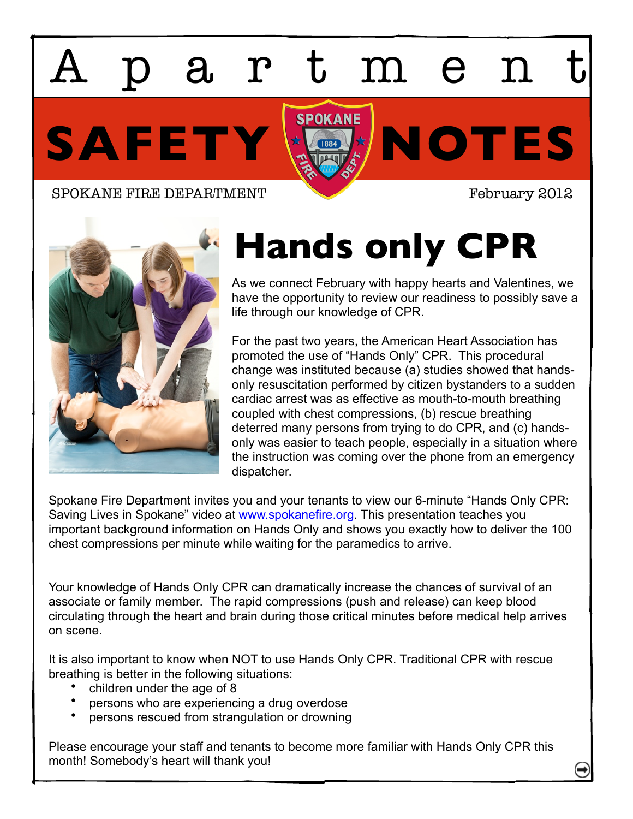SAFETY **KOLOTES** artmen

SPOKANE FIRE DEPARTMENT February 2012



## **Hands only CPR**

As we connect February with happy hearts and Valentines, we have the opportunity to review our readiness to possibly save a life through our knowledge of CPR.

For the past two years, the American Heart Association has promoted the use of "Hands Only" CPR. This procedural change was instituted because (a) studies showed that handsonly resuscitation performed by citizen bystanders to a sudden cardiac arrest was as effective as mouth-to-mouth breathing coupled with chest compressions, (b) rescue breathing deterred many persons from trying to do CPR, and (c) handsonly was easier to teach people, especially in a situation where the instruction was coming over the phone from an emergency dispatcher.

Spokane Fire Department invites you and your tenants to view our 6-minute "Hands Only CPR: Saving Lives in Spokane" video at [www.spokanefire.org.](http://www.spokanefire.org) This presentation teaches you important background information on Hands Only and shows you exactly how to deliver the 100 chest compressions per minute while waiting for the paramedics to arrive.

Your knowledge of Hands Only CPR can dramatically increase the chances of survival of an associate or family member. The rapid compressions (push and release) can keep blood circulating through the heart and brain during those critical minutes before medical help arrives on scene.

It is also important to know when NOT to use Hands Only CPR. Traditional CPR with rescue breathing is better in the following situations:

- children under the age of 8
- persons who are experiencing a drug overdose
- persons rescued from strangulation or drowning

Please encourage your staff and tenants to become more familiar with Hands Only CPR this month! Somebody's heart will thank you!